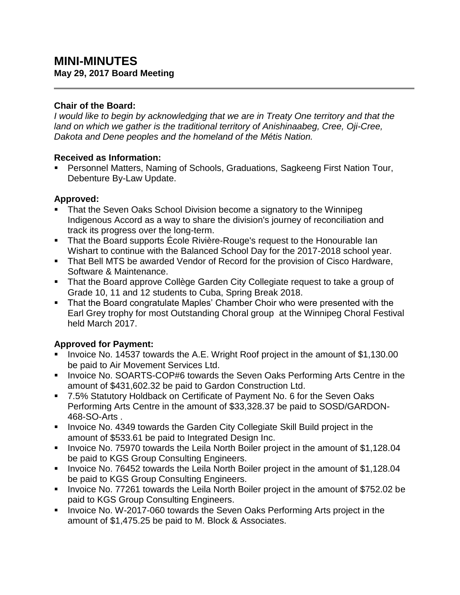## **Chair of the Board:**

*I would like to begin by acknowledging that we are in Treaty One territory and that the land on which we gather is the traditional territory of Anishinaabeg, Cree, Oji-Cree, Dakota and Dene peoples and the homeland of the Métis Nation.*

### **Received as Information:**

 Personnel Matters, Naming of Schools, Graduations, Sagkeeng First Nation Tour, Debenture By-Law Update.

### **Approved:**

- That the Seven Oaks School Division become a signatory to the Winnipeg Indigenous Accord as a way to share the division's journey of reconciliation and track its progress over the long-term.
- That the Board supports Ecole Rivière-Rouge's request to the Honourable lan Wishart to continue with the Balanced School Day for the 2017-2018 school year.
- That Bell MTS be awarded Vendor of Record for the provision of Cisco Hardware, Software & Maintenance.
- That the Board approve Collège Garden City Collegiate request to take a group of Grade 10, 11 and 12 students to Cuba, Spring Break 2018.
- That the Board congratulate Maples' Chamber Choir who were presented with the Earl Grey trophy for most Outstanding Choral group at the Winnipeg Choral Festival held March 2017.

## **Approved for Payment:**

- Invoice No. 14537 towards the A.E. Wright Roof project in the amount of \$1,130.00 be paid to Air Movement Services Ltd.
- **IDED** Invoice No. SOARTS-COP#6 towards the Seven Oaks Performing Arts Centre in the amount of \$431,602.32 be paid to Gardon Construction Ltd.
- 7.5% Statutory Holdback on Certificate of Payment No. 6 for the Seven Oaks Performing Arts Centre in the amount of \$33,328.37 be paid to SOSD/GARDON-468-SO-Arts .
- **Invoice No. 4349 towards the Garden City Collegiate Skill Build project in the** amount of \$533.61 be paid to Integrated Design Inc.
- Invoice No. 75970 towards the Leila North Boiler project in the amount of \$1,128.04 be paid to KGS Group Consulting Engineers.
- Invoice No. 76452 towards the Leila North Boiler project in the amount of \$1,128.04 be paid to KGS Group Consulting Engineers.
- Invoice No. 77261 towards the Leila North Boiler project in the amount of \$752.02 be paid to KGS Group Consulting Engineers.
- Invoice No. W-2017-060 towards the Seven Oaks Performing Arts project in the amount of \$1,475.25 be paid to M. Block & Associates.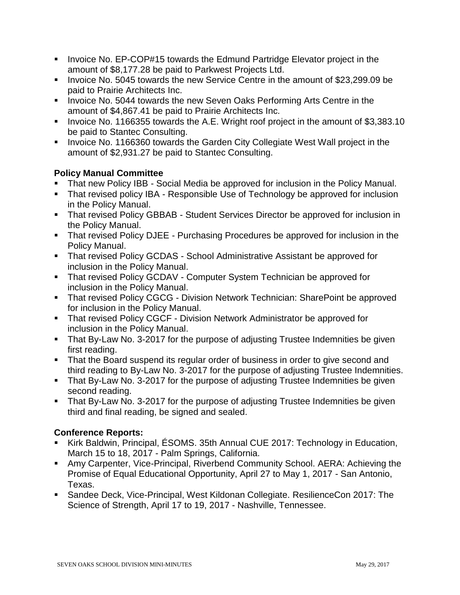- **Invoice No. EP-COP#15 towards the Edmund Partridge Elevator project in the** amount of \$8,177.28 be paid to Parkwest Projects Ltd.
- Invoice No. 5045 towards the new Service Centre in the amount of \$23,299.09 be paid to Prairie Architects Inc.
- **Invoice No. 5044 towards the new Seven Oaks Performing Arts Centre in the** amount of \$4,867.41 be paid to Prairie Architects Inc.
- Invoice No. 1166355 towards the A.E. Wright roof project in the amount of \$3,383.10 be paid to Stantec Consulting.
- **Invoice No. 1166360 towards the Garden City Collegiate West Wall project in the** amount of \$2,931.27 be paid to Stantec Consulting.

# **Policy Manual Committee**

- That new Policy IBB Social Media be approved for inclusion in the Policy Manual.
- That revised policy IBA Responsible Use of Technology be approved for inclusion in the Policy Manual.
- **That revised Policy GBBAB Student Services Director be approved for inclusion in** the Policy Manual.
- That revised Policy DJEE Purchasing Procedures be approved for inclusion in the Policy Manual.
- **That revised Policy GCDAS School Administrative Assistant be approved for** inclusion in the Policy Manual.
- **That revised Policy GCDAV Computer System Technician be approved for** inclusion in the Policy Manual.
- **That revised Policy CGCG Division Network Technician: SharePoint be approved** for inclusion in the Policy Manual.
- **That revised Policy CGCF Division Network Administrator be approved for** inclusion in the Policy Manual.
- That By-Law No. 3-2017 for the purpose of adjusting Trustee Indemnities be given first reading.
- That the Board suspend its regular order of business in order to give second and third reading to By-Law No. 3-2017 for the purpose of adjusting Trustee Indemnities.
- That By-Law No. 3-2017 for the purpose of adjusting Trustee Indemnities be given second reading.
- That By-Law No. 3-2017 for the purpose of adjusting Trustee Indemnities be given third and final reading, be signed and sealed.

# **Conference Reports:**

- Kirk Baldwin, Principal, ÉSOMS. 35th Annual CUE 2017: Technology in Education, March 15 to 18, 2017 - Palm Springs, California.
- Amy Carpenter, Vice-Principal, Riverbend Community School. AERA: Achieving the Promise of Equal Educational Opportunity, April 27 to May 1, 2017 - San Antonio, Texas.
- Sandee Deck, Vice-Principal, West Kildonan Collegiate. ResilienceCon 2017: The Science of Strength, April 17 to 19, 2017 - Nashville, Tennessee.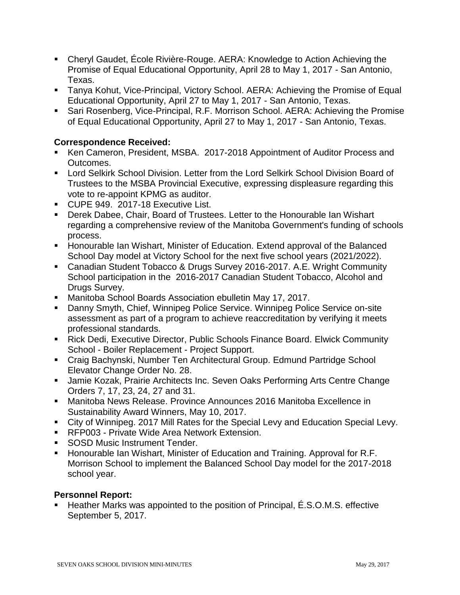- Cheryl Gaudet, École Rivière-Rouge. AERA: Knowledge to Action Achieving the Promise of Equal Educational Opportunity, April 28 to May 1, 2017 - San Antonio, Texas.
- Tanya Kohut, Vice-Principal, Victory School. AERA: Achieving the Promise of Equal Educational Opportunity, April 27 to May 1, 2017 - San Antonio, Texas.
- Sari Rosenberg, Vice-Principal, R.F. Morrison School. AERA: Achieving the Promise of Equal Educational Opportunity, April 27 to May 1, 2017 - San Antonio, Texas.

## **Correspondence Received:**

- Ken Cameron, President, MSBA. 2017-2018 Appointment of Auditor Process and Outcomes.
- Lord Selkirk School Division. Letter from the Lord Selkirk School Division Board of Trustees to the MSBA Provincial Executive, expressing displeasure regarding this vote to re-appoint KPMG as auditor.
- CUPE 949, 2017-18 Executive List.
- Derek Dabee, Chair, Board of Trustees. Letter to the Honourable Ian Wishart regarding a comprehensive review of the Manitoba Government's funding of schools process.
- Honourable Ian Wishart, Minister of Education. Extend approval of the Balanced School Day model at Victory School for the next five school years (2021/2022).
- Canadian Student Tobacco & Drugs Survey 2016-2017. A.E. Wright Community School participation in the 2016-2017 Canadian Student Tobacco, Alcohol and Drugs Survey.
- Manitoba School Boards Association ebulletin May 17, 2017.
- Danny Smyth, Chief, Winnipeg Police Service. Winnipeg Police Service on-site assessment as part of a program to achieve reaccreditation by verifying it meets professional standards.
- Rick Dedi, Executive Director, Public Schools Finance Board. Elwick Community School - Boiler Replacement - Project Support.
- Craig Bachynski, Number Ten Architectural Group. Edmund Partridge School Elevator Change Order No. 28.
- Jamie Kozak, Prairie Architects Inc. Seven Oaks Performing Arts Centre Change Orders 7, 17, 23, 24, 27 and 31.
- Manitoba News Release. Province Announces 2016 Manitoba Excellence in Sustainability Award Winners, May 10, 2017.
- City of Winnipeg. 2017 Mill Rates for the Special Levy and Education Special Levy.
- RFP003 Private Wide Area Network Extension.
- **SOSD Music Instrument Tender.**
- Honourable Ian Wishart, Minister of Education and Training. Approval for R.F. Morrison School to implement the Balanced School Day model for the 2017-2018 school year.

#### **Personnel Report:**

 Heather Marks was appointed to the position of Principal, É.S.O.M.S. effective September 5, 2017.